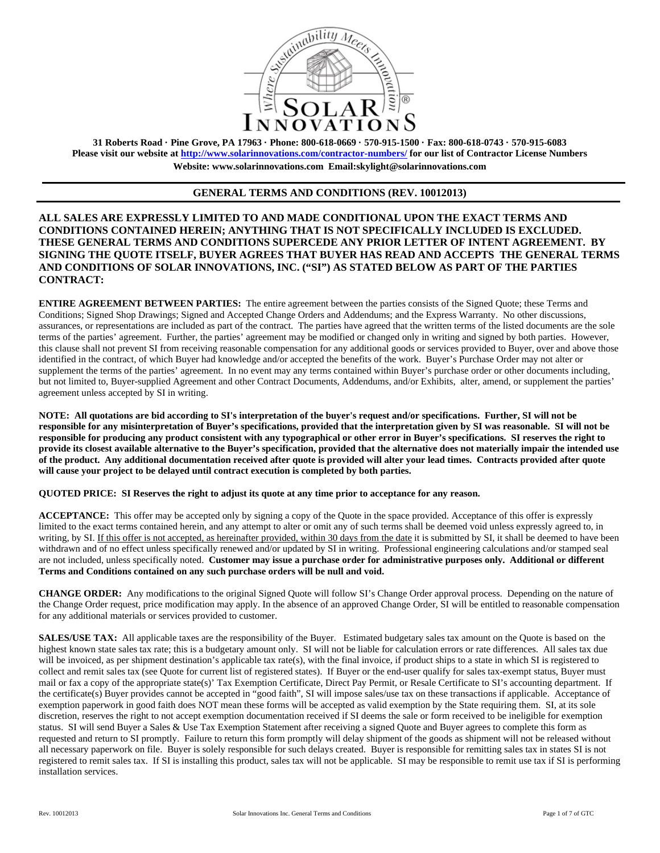

**31 Roberts Road · Pine Grove, PA 17963 · Phone: 800-618-0669 · 570-915-1500 · Fax: 800-618-0743 · 570-915-6083 Please visit our website at http://www.solarinnovations.com/contractor-numbers/ for our list of Contractor License Numbers Website: www.solarinnovations.com Email:skylight@solarinnovations.com** 

# **GENERAL TERMS AND CONDITIONS (REV. 10012013)**

**ALL SALES ARE EXPRESSLY LIMITED TO AND MADE CONDITIONAL UPON THE EXACT TERMS AND CONDITIONS CONTAINED HEREIN; ANYTHING THAT IS NOT SPECIFICALLY INCLUDED IS EXCLUDED. THESE GENERAL TERMS AND CONDITIONS SUPERCEDE ANY PRIOR LETTER OF INTENT AGREEMENT. BY SIGNING THE QUOTE ITSELF, BUYER AGREES THAT BUYER HAS READ AND ACCEPTS THE GENERAL TERMS AND CONDITIONS OF SOLAR INNOVATIONS, INC. ("SI") AS STATED BELOW AS PART OF THE PARTIES CONTRACT:**

**ENTIRE AGREEMENT BETWEEN PARTIES:** The entire agreement between the parties consists of the Signed Quote; these Terms and Conditions; Signed Shop Drawings; Signed and Accepted Change Orders and Addendums; and the Express Warranty. No other discussions, assurances, or representations are included as part of the contract. The parties have agreed that the written terms of the listed documents are the sole terms of the parties' agreement. Further, the parties' agreement may be modified or changed only in writing and signed by both parties. However, this clause shall not prevent SI from receiving reasonable compensation for any additional goods or services provided to Buyer, over and above those identified in the contract, of which Buyer had knowledge and/or accepted the benefits of the work. Buyer's Purchase Order may not alter or supplement the terms of the parties' agreement. In no event may any terms contained within Buyer's purchase order or other documents including, but not limited to, Buyer-supplied Agreement and other Contract Documents, Addendums, and/or Exhibits, alter, amend, or supplement the parties' agreement unless accepted by SI in writing.

**NOTE: All quotations are bid according to SI's interpretation of the buyer's request and/or specifications. Further, SI will not be responsible for any misinterpretation of Buyer's specifications, provided that the interpretation given by SI was reasonable. SI will not be responsible for producing any product consistent with any typographical or other error in Buyer's specifications. SI reserves the right to provide its closest available alternative to the Buyer's specification, provided that the alternative does not materially impair the intended use of the product. Any additional documentation received after quote is provided will alter your lead times. Contracts provided after quote will cause your project to be delayed until contract execution is completed by both parties.** 

**QUOTED PRICE: SI Reserves the right to adjust its quote at any time prior to acceptance for any reason.** 

**ACCEPTANCE:** This offer may be accepted only by signing a copy of the Quote in the space provided. Acceptance of this offer is expressly limited to the exact terms contained herein, and any attempt to alter or omit any of such terms shall be deemed void unless expressly agreed to, in writing, by SI. If this offer is not accepted, as hereinafter provided, within 30 days from the date it is submitted by SI, it shall be deemed to have been withdrawn and of no effect unless specifically renewed and/or updated by SI in writing. Professional engineering calculations and/or stamped seal are not included, unless specifically noted. **Customer may issue a purchase order for administrative purposes only. Additional or different Terms and Conditions contained on any such purchase orders will be null and void.**

**CHANGE ORDER:** Any modifications to the original Signed Quote will follow SI's Change Order approval process. Depending on the nature of the Change Order request, price modification may apply. In the absence of an approved Change Order, SI will be entitled to reasonable compensation for any additional materials or services provided to customer.

**SALES/USE TAX:** All applicable taxes are the responsibility of the Buyer. Estimated budgetary sales tax amount on the Quote is based on the highest known state sales tax rate; this is a budgetary amount only. SI will not be liable for calculation errors or rate differences. All sales tax due will be invoiced, as per shipment destination's applicable tax rate(s), with the final invoice, if product ships to a state in which SI is registered to collect and remit sales tax (see Quote for current list of registered states). If Buyer or the end-user qualify for sales tax-exempt status, Buyer must mail or fax a copy of the appropriate state(s)' Tax Exemption Certificate, Direct Pay Permit, or Resale Certificate to SI's accounting department. If the certificate(s) Buyer provides cannot be accepted in "good faith", SI will impose sales/use tax on these transactions if applicable. Acceptance of exemption paperwork in good faith does NOT mean these forms will be accepted as valid exemption by the State requiring them. SI, at its sole discretion, reserves the right to not accept exemption documentation received if SI deems the sale or form received to be ineligible for exemption status. SI will send Buyer a Sales & Use Tax Exemption Statement after receiving a signed Quote and Buyer agrees to complete this form as requested and return to SI promptly. Failure to return this form promptly will delay shipment of the goods as shipment will not be released without all necessary paperwork on file. Buyer is solely responsible for such delays created. Buyer is responsible for remitting sales tax in states SI is not registered to remit sales tax. If SI is installing this product, sales tax will not be applicable. SI may be responsible to remit use tax if SI is performing installation services.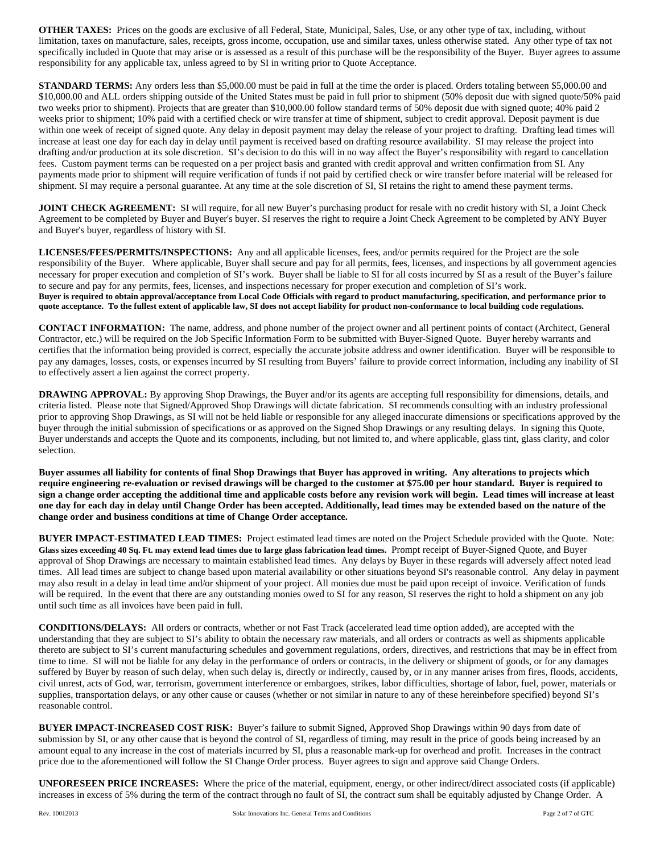**OTHER TAXES:** Prices on the goods are exclusive of all Federal, State, Municipal, Sales, Use, or any other type of tax, including, without limitation, taxes on manufacture, sales, receipts, gross income, occupation, use and similar taxes, unless otherwise stated. Any other type of tax not specifically included in Quote that may arise or is assessed as a result of this purchase will be the responsibility of the Buyer. Buyer agrees to assume responsibility for any applicable tax, unless agreed to by SI in writing prior to Quote Acceptance.

**STANDARD TERMS:** Any orders less than \$5,000.00 must be paid in full at the time the order is placed. Orders totaling between \$5,000.00 and \$10,000.00 and ALL orders shipping outside of the United States must be paid in full prior to shipment (50% deposit due with signed quote/50% paid two weeks prior to shipment). Projects that are greater than \$10,000.00 follow standard terms of 50% deposit due with signed quote; 40% paid 2 weeks prior to shipment; 10% paid with a certified check or wire transfer at time of shipment, subject to credit approval. Deposit payment is due within one week of receipt of signed quote. Any delay in deposit payment may delay the release of your project to drafting. Drafting lead times will increase at least one day for each day in delay until payment is received based on drafting resource availability. SI may release the project into drafting and/or production at its sole discretion. SI's decision to do this will in no way affect the Buyer's responsibility with regard to cancellation fees. Custom payment terms can be requested on a per project basis and granted with credit approval and written confirmation from SI. Any payments made prior to shipment will require verification of funds if not paid by certified check or wire transfer before material will be released for shipment. SI may require a personal guarantee. At any time at the sole discretion of SI, SI retains the right to amend these payment terms.

**JOINT CHECK AGREEMENT:** SI will require, for all new Buyer's purchasing product for resale with no credit history with SI, a Joint Check Agreement to be completed by Buyer and Buyer's buyer. SI reserves the right to require a Joint Check Agreement to be completed by ANY Buyer and Buyer's buyer, regardless of history with SI.

**LICENSES/FEES/PERMITS/INSPECTIONS:** Any and all applicable licenses, fees, and/or permits required for the Project are the sole responsibility of the Buyer. Where applicable, Buyer shall secure and pay for all permits, fees, licenses, and inspections by all government agencies necessary for proper execution and completion of SI's work. Buyer shall be liable to SI for all costs incurred by SI as a result of the Buyer's failure to secure and pay for any permits, fees, licenses, and inspections necessary for proper execution and completion of SI's work. **Buyer is required to obtain approval/acceptance from Local Code Officials with regard to product manufacturing, specification, and performance prior to quote acceptance. To the fullest extent of applicable law, SI does not accept liability for product non-conformance to local building code regulations.** 

**CONTACT INFORMATION:** The name, address, and phone number of the project owner and all pertinent points of contact (Architect, General Contractor, etc.) will be required on the Job Specific Information Form to be submitted with Buyer-Signed Quote. Buyer hereby warrants and certifies that the information being provided is correct, especially the accurate jobsite address and owner identification. Buyer will be responsible to pay any damages, losses, costs, or expenses incurred by SI resulting from Buyers' failure to provide correct information, including any inability of SI to effectively assert a lien against the correct property.

**DRAWING APPROVAL:** By approving Shop Drawings, the Buyer and/or its agents are accepting full responsibility for dimensions, details, and criteria listed. Please note that Signed/Approved Shop Drawings will dictate fabrication. SI recommends consulting with an industry professional prior to approving Shop Drawings, as SI will not be held liable or responsible for any alleged inaccurate dimensions or specifications approved by the buyer through the initial submission of specifications or as approved on the Signed Shop Drawings or any resulting delays. In signing this Quote, Buyer understands and accepts the Quote and its components, including, but not limited to, and where applicable, glass tint, glass clarity, and color selection.

**Buyer assumes all liability for contents of final Shop Drawings that Buyer has approved in writing. Any alterations to projects which require engineering re-evaluation or revised drawings will be charged to the customer at \$75.00 per hour standard. Buyer is required to sign a change order accepting the additional time and applicable costs before any revision work will begin. Lead times will increase at least one day for each day in delay until Change Order has been accepted. Additionally, lead times may be extended based on the nature of the change order and business conditions at time of Change Order acceptance.** 

**BUYER IMPACT**-**ESTIMATED LEAD TIMES:** Project estimated lead times are noted on the Project Schedule provided with the Quote. Note: **Glass sizes exceeding 40 Sq. Ft. may extend lead times due to large glass fabrication lead times.** Prompt receipt of Buyer-Signed Quote, and Buyer approval of Shop Drawings are necessary to maintain established lead times. Any delays by Buyer in these regards will adversely affect noted lead times. All lead times are subject to change based upon material availability or other situations beyond SI's reasonable control. Any delay in payment may also result in a delay in lead time and/or shipment of your project. All monies due must be paid upon receipt of invoice. Verification of funds will be required. In the event that there are any outstanding monies owed to SI for any reason, SI reserves the right to hold a shipment on any job until such time as all invoices have been paid in full.

**CONDITIONS/DELAYS:** All orders or contracts, whether or not Fast Track (accelerated lead time option added), are accepted with the understanding that they are subject to SI's ability to obtain the necessary raw materials, and all orders or contracts as well as shipments applicable thereto are subject to SI's current manufacturing schedules and government regulations, orders, directives, and restrictions that may be in effect from time to time. SI will not be liable for any delay in the performance of orders or contracts, in the delivery or shipment of goods, or for any damages suffered by Buyer by reason of such delay, when such delay is, directly or indirectly, caused by, or in any manner arises from fires, floods, accidents, civil unrest, acts of God, war, terrorism, government interference or embargoes, strikes, labor difficulties, shortage of labor, fuel, power, materials or supplies, transportation delays, or any other cause or causes (whether or not similar in nature to any of these hereinbefore specified) beyond SI's reasonable control.

**BUYER IMPACT-INCREASED COST RISK:** Buyer's failure to submit Signed, Approved Shop Drawings within 90 days from date of submission by SI, or any other cause that is beyond the control of SI, regardless of timing, may result in the price of goods being increased by an amount equal to any increase in the cost of materials incurred by SI, plus a reasonable mark-up for overhead and profit. Increases in the contract price due to the aforementioned will follow the SI Change Order process. Buyer agrees to sign and approve said Change Orders.

**UNFORESEEN PRICE INCREASES:** Where the price of the material, equipment, energy, or other indirect/direct associated costs (if applicable) increases in excess of 5% during the term of the contract through no fault of SI, the contract sum shall be equitably adjusted by Change Order. A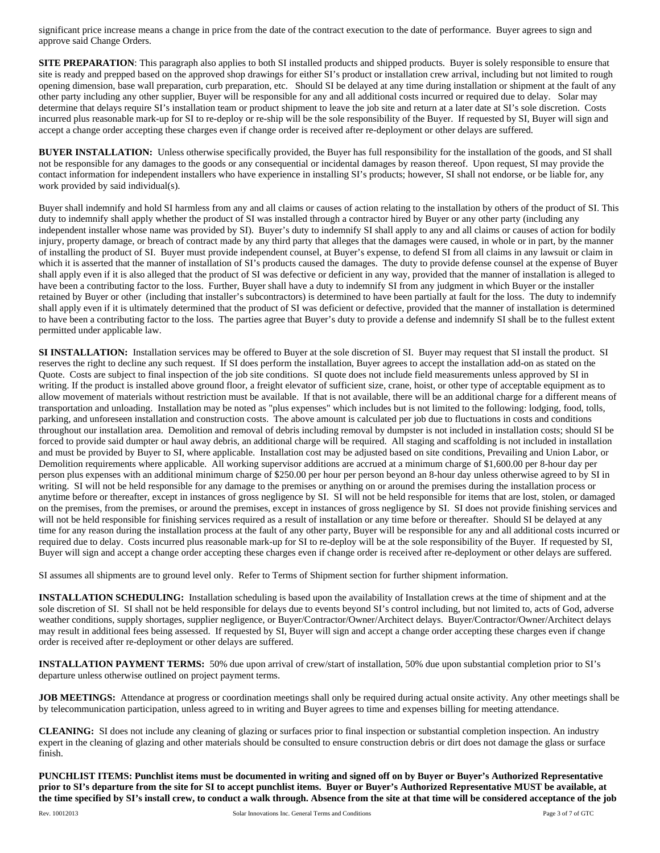significant price increase means a change in price from the date of the contract execution to the date of performance. Buyer agrees to sign and approve said Change Orders.

**SITE PREPARATION:** This paragraph also applies to both SI installed products and shipped products. Buyer is solely responsible to ensure that site is ready and prepped based on the approved shop drawings for either SI's product or installation crew arrival, including but not limited to rough opening dimension, base wall preparation, curb preparation, etc. Should SI be delayed at any time during installation or shipment at the fault of any other party including any other supplier, Buyer will be responsible for any and all additional costs incurred or required due to delay. Solar may determine that delays require SI's installation team or product shipment to leave the job site and return at a later date at SI's sole discretion. Costs incurred plus reasonable mark-up for SI to re-deploy or re-ship will be the sole responsibility of the Buyer. If requested by SI, Buyer will sign and accept a change order accepting these charges even if change order is received after re-deployment or other delays are suffered.

**BUYER INSTALLATION:** Unless otherwise specifically provided, the Buyer has full responsibility for the installation of the goods, and SI shall not be responsible for any damages to the goods or any consequential or incidental damages by reason thereof. Upon request, SI may provide the contact information for independent installers who have experience in installing SI's products; however, SI shall not endorse, or be liable for, any work provided by said individual(s).

Buyer shall indemnify and hold SI harmless from any and all claims or causes of action relating to the installation by others of the product of SI. This duty to indemnify shall apply whether the product of SI was installed through a contractor hired by Buyer or any other party (including any independent installer whose name was provided by SI). Buyer's duty to indemnify SI shall apply to any and all claims or causes of action for bodily injury, property damage, or breach of contract made by any third party that alleges that the damages were caused, in whole or in part, by the manner of installing the product of SI. Buyer must provide independent counsel, at Buyer's expense, to defend SI from all claims in any lawsuit or claim in which it is asserted that the manner of installation of SI's products caused the damages. The duty to provide defense counsel at the expense of Buyer shall apply even if it is also alleged that the product of SI was defective or deficient in any way, provided that the manner of installation is alleged to have been a contributing factor to the loss. Further, Buyer shall have a duty to indemnify SI from any judgment in which Buyer or the installer retained by Buyer or other (including that installer's subcontractors) is determined to have been partially at fault for the loss. The duty to indemnify shall apply even if it is ultimately determined that the product of SI was deficient or defective, provided that the manner of installation is determined to have been a contributing factor to the loss. The parties agree that Buyer's duty to provide a defense and indemnify SI shall be to the fullest extent permitted under applicable law.

**SI INSTALLATION:** Installation services may be offered to Buyer at the sole discretion of SI. Buyer may request that SI install the product. SI reserves the right to decline any such request. If SI does perform the installation, Buyer agrees to accept the installation add-on as stated on the Quote. Costs are subject to final inspection of the job site conditions. SI quote does not include field measurements unless approved by SI in writing. If the product is installed above ground floor, a freight elevator of sufficient size, crane, hoist, or other type of acceptable equipment as to allow movement of materials without restriction must be available. If that is not available, there will be an additional charge for a different means of transportation and unloading. Installation may be noted as "plus expenses" which includes but is not limited to the following: lodging, food, tolls, parking, and unforeseen installation and construction costs. The above amount is calculated per job due to fluctuations in costs and conditions throughout our installation area. Demolition and removal of debris including removal by dumpster is not included in installation costs; should SI be forced to provide said dumpter or haul away debris, an additional charge will be required. All staging and scaffolding is not included in installation and must be provided by Buyer to SI, where applicable. Installation cost may be adjusted based on site conditions, Prevailing and Union Labor, or Demolition requirements where applicable. All working supervisor additions are accrued at a minimum charge of \$1,600.00 per 8-hour day per person plus expenses with an additional minimum charge of \$250.00 per hour per person beyond an 8-hour day unless otherwise agreed to by SI in writing. SI will not be held responsible for any damage to the premises or anything on or around the premises during the installation process or anytime before or thereafter, except in instances of gross negligence by SI. SI will not be held responsible for items that are lost, stolen, or damaged on the premises, from the premises, or around the premises, except in instances of gross negligence by SI. SI does not provide finishing services and will not be held responsible for finishing services required as a result of installation or any time before or thereafter. Should SI be delayed at any time for any reason during the installation process at the fault of any other party, Buyer will be responsible for any and all additional costs incurred or required due to delay. Costs incurred plus reasonable mark-up for SI to re-deploy will be at the sole responsibility of the Buyer. If requested by SI, Buyer will sign and accept a change order accepting these charges even if change order is received after re-deployment or other delays are suffered.

SI assumes all shipments are to ground level only. Refer to Terms of Shipment section for further shipment information.

**INSTALLATION SCHEDULING:** Installation scheduling is based upon the availability of Installation crews at the time of shipment and at the sole discretion of SI. SI shall not be held responsible for delays due to events beyond SI's control including, but not limited to, acts of God, adverse weather conditions, supply shortages, supplier negligence, or Buyer/Contractor/Owner/Architect delays. Buyer/Contractor/Owner/Architect delays may result in additional fees being assessed. If requested by SI, Buyer will sign and accept a change order accepting these charges even if change order is received after re-deployment or other delays are suffered.

**INSTALLATION PAYMENT TERMS:** 50% due upon arrival of crew/start of installation, 50% due upon substantial completion prior to SI's departure unless otherwise outlined on project payment terms.

**JOB MEETINGS:** Attendance at progress or coordination meetings shall only be required during actual onsite activity. Any other meetings shall be by telecommunication participation, unless agreed to in writing and Buyer agrees to time and expenses billing for meeting attendance.

**CLEANING:** SI does not include any cleaning of glazing or surfaces prior to final inspection or substantial completion inspection. An industry expert in the cleaning of glazing and other materials should be consulted to ensure construction debris or dirt does not damage the glass or surface finish.

**PUNCHLIST ITEMS: Punchlist items must be documented in writing and signed off on by Buyer or Buyer's Authorized Representative prior to SI's departure from the site for SI to accept punchlist items. Buyer or Buyer's Authorized Representative MUST be available, at the time specified by SI's install crew, to conduct a walk through. Absence from the site at that time will be considered acceptance of the job**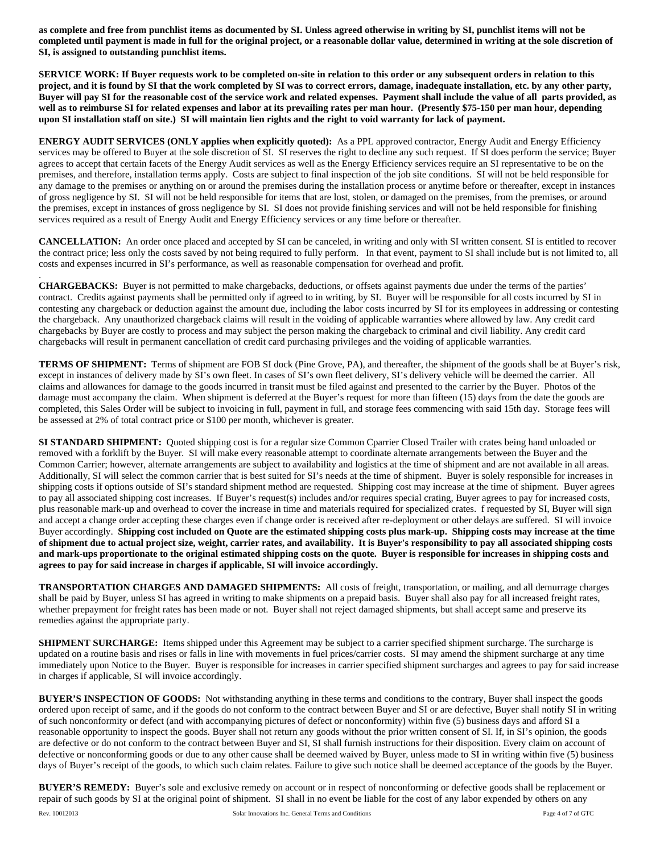**as complete and free from punchlist items as documented by SI. Unless agreed otherwise in writing by SI, punchlist items will not be completed until payment is made in full for the original project, or a reasonable dollar value, determined in writing at the sole discretion of SI, is assigned to outstanding punchlist items.** 

**SERVICE WORK: If Buyer requests work to be completed on-site in relation to this order or any subsequent orders in relation to this project, and it is found by SI that the work completed by SI was to correct errors, damage, inadequate installation, etc. by any other party, Buyer will pay SI for the reasonable cost of the service work and related expenses. Payment shall include the value of all parts provided, as well as to reimburse SI for related expenses and labor at its prevailing rates per man hour. (Presently \$75-150 per man hour, depending upon SI installation staff on site.) SI will maintain lien rights and the right to void warranty for lack of payment.** 

**ENERGY AUDIT SERVICES (ONLY applies when explicitly quoted):** As a PPL approved contractor, Energy Audit and Energy Efficiency services may be offered to Buyer at the sole discretion of SI. SI reserves the right to decline any such request. If SI does perform the service; Buyer agrees to accept that certain facets of the Energy Audit services as well as the Energy Efficiency services require an SI representative to be on the premises, and therefore, installation terms apply. Costs are subject to final inspection of the job site conditions. SI will not be held responsible for any damage to the premises or anything on or around the premises during the installation process or anytime before or thereafter, except in instances of gross negligence by SI. SI will not be held responsible for items that are lost, stolen, or damaged on the premises, from the premises, or around the premises, except in instances of gross negligence by SI. SI does not provide finishing services and will not be held responsible for finishing services required as a result of Energy Audit and Energy Efficiency services or any time before or thereafter.

**CANCELLATION:** An order once placed and accepted by SI can be canceled, in writing and only with SI written consent. SI is entitled to recover the contract price; less only the costs saved by not being required to fully perform. In that event, payment to SI shall include but is not limited to, all costs and expenses incurred in SI's performance, as well as reasonable compensation for overhead and profit.

**CHARGEBACKS:** Buyer is not permitted to make chargebacks, deductions, or offsets against payments due under the terms of the parties' contract. Credits against payments shall be permitted only if agreed to in writing, by SI. Buyer will be responsible for all costs incurred by SI in contesting any chargeback or deduction against the amount due, including the labor costs incurred by SI for its employees in addressing or contesting the chargeback. Any unauthorized chargeback claims will result in the voiding of applicable warranties where allowed by law. Any credit card chargebacks by Buyer are costly to process and may subject the person making the chargeback to criminal and civil liability. Any credit card chargebacks will result in permanent cancellation of credit card purchasing privileges and the voiding of applicable warranties.

**TERMS OF SHIPMENT:** Terms of shipment are FOB SI dock (Pine Grove, PA), and thereafter, the shipment of the goods shall be at Buyer's risk, except in instances of delivery made by SI's own fleet. In cases of SI's own fleet delivery, SI's delivery vehicle will be deemed the carrier. All claims and allowances for damage to the goods incurred in transit must be filed against and presented to the carrier by the Buyer. Photos of the damage must accompany the claim. When shipment is deferred at the Buyer's request for more than fifteen (15) days from the date the goods are completed, this Sales Order will be subject to invoicing in full, payment in full, and storage fees commencing with said 15th day. Storage fees will be assessed at 2% of total contract price or \$100 per month, whichever is greater.

**SI STANDARD SHIPMENT:** Quoted shipping cost is for a regular size Common Cparrier Closed Trailer with crates being hand unloaded or removed with a forklift by the Buyer. SI will make every reasonable attempt to coordinate alternate arrangements between the Buyer and the Common Carrier; however, alternate arrangements are subject to availability and logistics at the time of shipment and are not available in all areas. Additionally, SI will select the common carrier that is best suited for SI's needs at the time of shipment. Buyer is solely responsible for increases in shipping costs if options outside of SI's standard shipment method are requested. Shipping cost may increase at the time of shipment. Buyer agrees to pay all associated shipping cost increases. If Buyer's request(s) includes and/or requires special crating, Buyer agrees to pay for increased costs, plus reasonable mark-up and overhead to cover the increase in time and materials required for specialized crates. f requested by SI, Buyer will sign and accept a change order accepting these charges even if change order is received after re-deployment or other delays are suffered. SI will invoice Buyer accordingly. **Shipping cost included on Quote are the estimated shipping costs plus mark-up. Shipping costs may increase at the time of shipment due to actual project size, weight, carrier rates, and availability. It is Buyer's responsibility to pay all associated shipping costs and mark-ups proportionate to the original estimated shipping costs on the quote. Buyer is responsible for increases in shipping costs and agrees to pay for said increase in charges if applicable, SI will invoice accordingly.**

**TRANSPORTATION CHARGES AND DAMAGED SHIPMENTS:** All costs of freight, transportation, or mailing, and all demurrage charges shall be paid by Buyer, unless SI has agreed in writing to make shipments on a prepaid basis. Buyer shall also pay for all increased freight rates, whether prepayment for freight rates has been made or not. Buyer shall not reject damaged shipments, but shall accept same and preserve its remedies against the appropriate party.

**SHIPMENT SURCHARGE:** Items shipped under this Agreement may be subject to a carrier specified shipment surcharge. The surcharge is updated on a routine basis and rises or falls in line with movements in fuel prices/carrier costs. SI may amend the shipment surcharge at any time immediately upon Notice to the Buyer. Buyer is responsible for increases in carrier specified shipment surcharges and agrees to pay for said increase in charges if applicable, SI will invoice accordingly.

**BUYER'S INSPECTION OF GOODS:** Not withstanding anything in these terms and conditions to the contrary, Buyer shall inspect the goods ordered upon receipt of same, and if the goods do not conform to the contract between Buyer and SI or are defective, Buyer shall notify SI in writing of such nonconformity or defect (and with accompanying pictures of defect or nonconformity) within five (5) business days and afford SI a reasonable opportunity to inspect the goods. Buyer shall not return any goods without the prior written consent of SI. If, in SI's opinion, the goods are defective or do not conform to the contract between Buyer and SI, SI shall furnish instructions for their disposition. Every claim on account of defective or nonconforming goods or due to any other cause shall be deemed waived by Buyer, unless made to SI in writing within five (5) business days of Buyer's receipt of the goods, to which such claim relates. Failure to give such notice shall be deemed acceptance of the goods by the Buyer.

**BUYER'S REMEDY:** Buyer's sole and exclusive remedy on account or in respect of nonconforming or defective goods shall be replacement or repair of such goods by SI at the original point of shipment. SI shall in no event be liable for the cost of any labor expended by others on any

.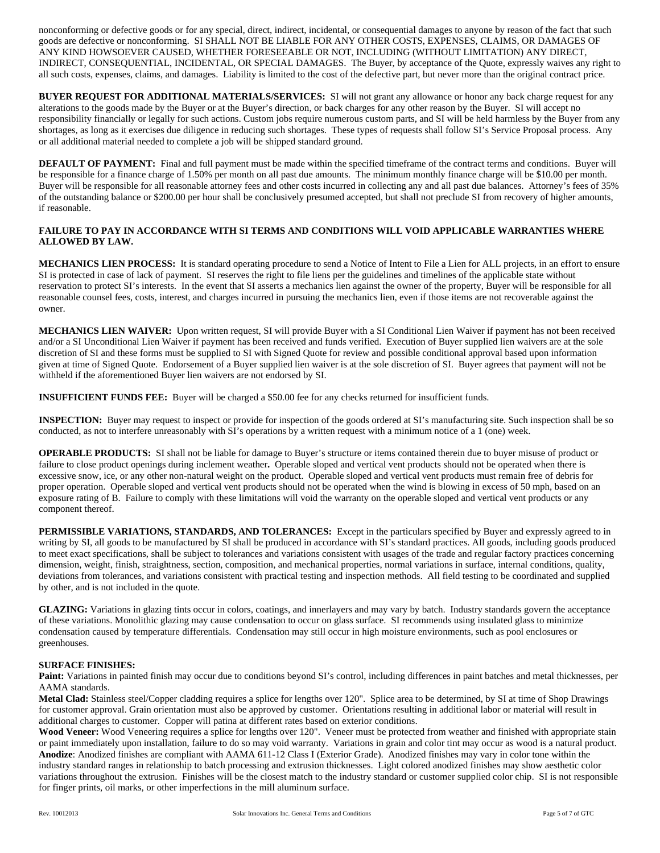nonconforming or defective goods or for any special, direct, indirect, incidental, or consequential damages to anyone by reason of the fact that such goods are defective or nonconforming. SI SHALL NOT BE LIABLE FOR ANY OTHER COSTS, EXPENSES, CLAIMS, OR DAMAGES OF ANY KIND HOWSOEVER CAUSED, WHETHER FORESEEABLE OR NOT, INCLUDING (WITHOUT LIMITATION) ANY DIRECT, INDIRECT, CONSEQUENTIAL, INCIDENTAL, OR SPECIAL DAMAGES. The Buyer, by acceptance of the Quote, expressly waives any right to all such costs, expenses, claims, and damages. Liability is limited to the cost of the defective part, but never more than the original contract price.

**BUYER REQUEST FOR ADDITIONAL MATERIALS/SERVICES:** SI will not grant any allowance or honor any back charge request for any alterations to the goods made by the Buyer or at the Buyer's direction, or back charges for any other reason by the Buyer. SI will accept no responsibility financially or legally for such actions. Custom jobs require numerous custom parts, and SI will be held harmless by the Buyer from any shortages, as long as it exercises due diligence in reducing such shortages. These types of requests shall follow SI's Service Proposal process. Any or all additional material needed to complete a job will be shipped standard ground.

**DEFAULT OF PAYMENT:** Final and full payment must be made within the specified timeframe of the contract terms and conditions. Buyer will be responsible for a finance charge of 1.50% per month on all past due amounts. The minimum monthly finance charge will be \$10.00 per month. Buyer will be responsible for all reasonable attorney fees and other costs incurred in collecting any and all past due balances. Attorney's fees of 35% of the outstanding balance or \$200.00 per hour shall be conclusively presumed accepted, but shall not preclude SI from recovery of higher amounts, if reasonable.

## **FAILURE TO PAY IN ACCORDANCE WITH SI TERMS AND CONDITIONS WILL VOID APPLICABLE WARRANTIES WHERE ALLOWED BY LAW.**

**MECHANICS LIEN PROCESS:** It is standard operating procedure to send a Notice of Intent to File a Lien for ALL projects, in an effort to ensure SI is protected in case of lack of payment. SI reserves the right to file liens per the guidelines and timelines of the applicable state without reservation to protect SI's interests. In the event that SI asserts a mechanics lien against the owner of the property, Buyer will be responsible for all reasonable counsel fees, costs, interest, and charges incurred in pursuing the mechanics lien, even if those items are not recoverable against the owner.

**MECHANICS LIEN WAIVER:** Upon written request, SI will provide Buyer with a SI Conditional Lien Waiver if payment has not been received and/or a SI Unconditional Lien Waiver if payment has been received and funds verified. Execution of Buyer supplied lien waivers are at the sole discretion of SI and these forms must be supplied to SI with Signed Quote for review and possible conditional approval based upon information given at time of Signed Quote. Endorsement of a Buyer supplied lien waiver is at the sole discretion of SI. Buyer agrees that payment will not be withheld if the aforementioned Buyer lien waivers are not endorsed by SI.

**INSUFFICIENT FUNDS FEE:** Buyer will be charged a \$50.00 fee for any checks returned for insufficient funds.

**INSPECTION:** Buyer may request to inspect or provide for inspection of the goods ordered at SI's manufacturing site. Such inspection shall be so conducted, as not to interfere unreasonably with SI's operations by a written request with a minimum notice of a 1 (one) week.

**OPERABLE PRODUCTS:** SI shall not be liable for damage to Buyer's structure or items contained therein due to buyer misuse of product or failure to close product openings during inclement weather**.** Operable sloped and vertical vent products should not be operated when there is excessive snow, ice, or any other non-natural weight on the product. Operable sloped and vertical vent products must remain free of debris for proper operation. Operable sloped and vertical vent products should not be operated when the wind is blowing in excess of 50 mph, based on an exposure rating of B. Failure to comply with these limitations will void the warranty on the operable sloped and vertical vent products or any component thereof.

**PERMISSIBLE VARIATIONS, STANDARDS, AND TOLERANCES:** Except in the particulars specified by Buyer and expressly agreed to in writing by SI, all goods to be manufactured by SI shall be produced in accordance with SI's standard practices. All goods, including goods produced to meet exact specifications, shall be subject to tolerances and variations consistent with usages of the trade and regular factory practices concerning dimension, weight, finish, straightness, section, composition, and mechanical properties, normal variations in surface, internal conditions, quality, deviations from tolerances, and variations consistent with practical testing and inspection methods. All field testing to be coordinated and supplied by other, and is not included in the quote.

**GLAZING:** Variations in glazing tints occur in colors, coatings, and innerlayers and may vary by batch. Industry standards govern the acceptance of these variations. Monolithic glazing may cause condensation to occur on glass surface. SI recommends using insulated glass to minimize condensation caused by temperature differentials. Condensation may still occur in high moisture environments, such as pool enclosures or greenhouses.

## **SURFACE FINISHES:**

Paint: Variations in painted finish may occur due to conditions beyond SI's control, including differences in paint batches and metal thicknesses, per AAMA standards.

**Metal Clad:** Stainless steel/Copper cladding requires a splice for lengths over 120". Splice area to be determined, by SI at time of Shop Drawings for customer approval. Grain orientation must also be approved by customer. Orientations resulting in additional labor or material will result in additional charges to customer. Copper will patina at different rates based on exterior conditions.

Wood Veneer: Wood Veneering requires a splice for lengths over 120". Veneer must be protected from weather and finished with appropriate stain or paint immediately upon installation, failure to do so may void warranty. Variations in grain and color tint may occur as wood is a natural product. **Anodize**: Anodized finishes are compliant with AAMA 611-12 Class I (Exterior Grade). Anodized finishes may vary in color tone within the industry standard ranges in relationship to batch processing and extrusion thicknesses. Light colored anodized finishes may show aesthetic color variations throughout the extrusion. Finishes will be the closest match to the industry standard or customer supplied color chip. SI is not responsible for finger prints, oil marks, or other imperfections in the mill aluminum surface.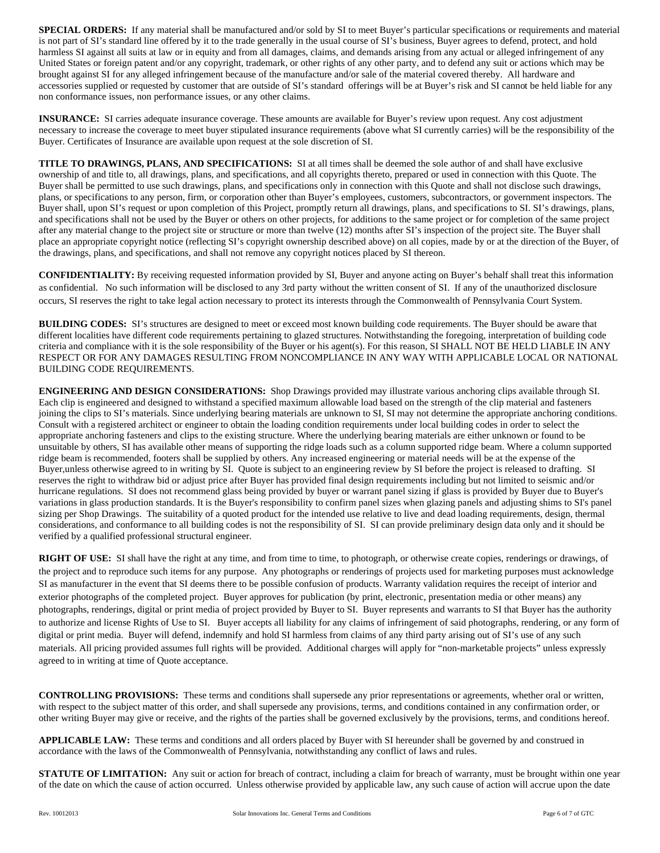**SPECIAL ORDERS:** If any material shall be manufactured and/or sold by SI to meet Buyer's particular specifications or requirements and material is not part of SI's standard line offered by it to the trade generally in the usual course of SI's business, Buyer agrees to defend, protect, and hold harmless SI against all suits at law or in equity and from all damages, claims, and demands arising from any actual or alleged infringement of any United States or foreign patent and/or any copyright, trademark, or other rights of any other party, and to defend any suit or actions which may be brought against SI for any alleged infringement because of the manufacture and/or sale of the material covered thereby. All hardware and accessories supplied or requested by customer that are outside of SI's standard offerings will be at Buyer's risk and SI cannot be held liable for any non conformance issues, non performance issues, or any other claims.

**INSURANCE:** SI carries adequate insurance coverage. These amounts are available for Buyer's review upon request. Any cost adjustment necessary to increase the coverage to meet buyer stipulated insurance requirements (above what SI currently carries) will be the responsibility of the Buyer. Certificates of Insurance are available upon request at the sole discretion of SI.

**TITLE TO DRAWINGS, PLANS, AND SPECIFICATIONS:** SI at all times shall be deemed the sole author of and shall have exclusive ownership of and title to, all drawings, plans, and specifications, and all copyrights thereto, prepared or used in connection with this Quote. The Buyer shall be permitted to use such drawings, plans, and specifications only in connection with this Quote and shall not disclose such drawings, plans, or specifications to any person, firm, or corporation other than Buyer's employees, customers, subcontractors, or government inspectors. The Buyer shall, upon SI's request or upon completion of this Project, promptly return all drawings, plans, and specifications to SI. SI's drawings, plans, and specifications shall not be used by the Buyer or others on other projects, for additions to the same project or for completion of the same project after any material change to the project site or structure or more than twelve (12) months after SI's inspection of the project site. The Buyer shall place an appropriate copyright notice (reflecting SI's copyright ownership described above) on all copies, made by or at the direction of the Buyer, of the drawings, plans, and specifications, and shall not remove any copyright notices placed by SI thereon.

**CONFIDENTIALITY:** By receiving requested information provided by SI, Buyer and anyone acting on Buyer's behalf shall treat this information as confidential. No such information will be disclosed to any 3rd party without the written consent of SI. If any of the unauthorized disclosure occurs, SI reserves the right to take legal action necessary to protect its interests through the Commonwealth of Pennsylvania Court System.

**BUILDING CODES:** SI's structures are designed to meet or exceed most known building code requirements. The Buyer should be aware that different localities have different code requirements pertaining to glazed structures. Notwithstanding the foregoing, interpretation of building code criteria and compliance with it is the sole responsibility of the Buyer or his agent(s). For this reason, SI SHALL NOT BE HELD LIABLE IN ANY RESPECT OR FOR ANY DAMAGES RESULTING FROM NONCOMPLIANCE IN ANY WAY WITH APPLICABLE LOCAL OR NATIONAL BUILDING CODE REQUIREMENTS.

**ENGINEERING AND DESIGN CONSIDERATIONS:** Shop Drawings provided may illustrate various anchoring clips available through SI. Each clip is engineered and designed to withstand a specified maximum allowable load based on the strength of the clip material and fasteners joining the clips to SI's materials. Since underlying bearing materials are unknown to SI, SI may not determine the appropriate anchoring conditions. Consult with a registered architect or engineer to obtain the loading condition requirements under local building codes in order to select the appropriate anchoring fasteners and clips to the existing structure. Where the underlying bearing materials are either unknown or found to be unsuitable by others, SI has available other means of supporting the ridge loads such as a column supported ridge beam. Where a column supported ridge beam is recommended, footers shall be supplied by others. Any increased engineering or material needs will be at the expense of the Buyer,unless otherwise agreed to in writing by SI. Quote is subject to an engineering review by SI before the project is released to drafting. SI reserves the right to withdraw bid or adjust price after Buyer has provided final design requirements including but not limited to seismic and/or hurricane regulations. SI does not recommend glass being provided by buyer or warrant panel sizing if glass is provided by Buyer due to Buyer's variations in glass production standards. It is the Buyer's responsibility to confirm panel sizes when glazing panels and adjusting shims to SI's panel sizing per Shop Drawings.The suitability of a quoted product for the intended use relative to live and dead loading requirements, design, thermal considerations, and conformance to all building codes is not the responsibility of SI. SI can provide preliminary design data only and it should be verified by a qualified professional structural engineer.

**RIGHT OF USE:** SI shall have the right at any time, and from time to time, to photograph, or otherwise create copies, renderings or drawings, of the project and to reproduce such items for any purpose. Any photographs or renderings of projects used for marketing purposes must acknowledge SI as manufacturer in the event that SI deems there to be possible confusion of products. Warranty validation requires the receipt of interior and exterior photographs of the completed project. Buyer approves for publication (by print, electronic, presentation media or other means) any photographs, renderings, digital or print media of project provided by Buyer to SI. Buyer represents and warrants to SI that Buyer has the authority to authorize and license Rights of Use to SI. Buyer accepts all liability for any claims of infringement of said photographs, rendering, or any form of digital or print media. Buyer will defend, indemnify and hold SI harmless from claims of any third party arising out of SI's use of any such materials. All pricing provided assumes full rights will be provided. Additional charges will apply for "non-marketable projects" unless expressly agreed to in writing at time of Quote acceptance.

**CONTROLLING PROVISIONS:** These terms and conditions shall supersede any prior representations or agreements, whether oral or written, with respect to the subject matter of this order, and shall supersede any provisions, terms, and conditions contained in any confirmation order, or other writing Buyer may give or receive, and the rights of the parties shall be governed exclusively by the provisions, terms, and conditions hereof.

**APPLICABLE LAW:** These terms and conditions and all orders placed by Buyer with SI hereunder shall be governed by and construed in accordance with the laws of the Commonwealth of Pennsylvania, notwithstanding any conflict of laws and rules.

**STATUTE OF LIMITATION:** Any suit or action for breach of contract, including a claim for breach of warranty, must be brought within one year of the date on which the cause of action occurred. Unless otherwise provided by applicable law, any such cause of action will accrue upon the date